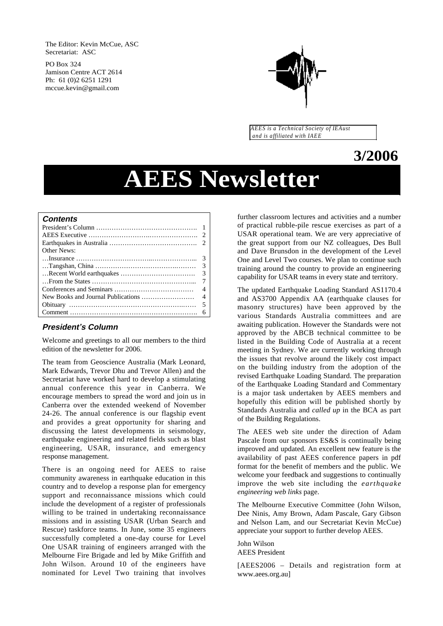The Editor: Kevin McCue, ASC Secretariat: ASC

PO Box 324 Jamison Centre ACT 2614 Ph: 61 (0)2 6251 1291 mccue.kevin@gmail.com



*AEES is a Technical Society of IEAust and is affiliated with IAEE*

# **3/2006**

# **AEES Newsletter**

#### **Contents**

| <b>Other News:</b> |  |
|--------------------|--|
|                    |  |
|                    |  |
|                    |  |
|                    |  |
|                    |  |
|                    |  |
|                    |  |
|                    |  |

#### **President's Column**

Welcome and greetings to all our members to the third edition of the newsletter for 2006.

The team from Geoscience Australia (Mark Leonard, Mark Edwards, Trevor Dhu and Trevor Allen) and the Secretariat have worked hard to develop a stimulating annual conference this year in Canberra. We encourage members to spread the word and join us in Canberra over the extended weekend of November 24-26. The annual conference is our flagship event and provides a great opportunity for sharing and discussing the latest developments in seismology, earthquake engineering and related fields such as blast engineering, USAR, insurance, and emergency response management.

There is an ongoing need for AEES to raise community awareness in earthquake education in this country and to develop a response plan for emergency support and reconnaissance missions which could include the development of a register of professionals willing to be trained in undertaking reconnaissance missions and in assisting USAR (Urban Search and Rescue) taskforce teams. In June, some 35 engineers successfully completed a one-day course for Level One USAR training of engineers arranged with the Melbourne Fire Brigade and led by Mike Griffith and John Wilson. Around 10 of the engineers have nominated for Level Two training that involves further classroom lectures and activities and a number of practical rubble-pile rescue exercises as part of a USAR operational team. We are very appreciative of the great support from our NZ colleagues, Des Bull and Dave Brunsdon in the development of the Level One and Level Two courses. We plan to continue such training around the country to provide an engineering capability for USAR teams in every state and territory.

The updated Earthquake Loading Standard AS1170.4 and AS3700 Appendix AA (earthquake clauses for masonry structures) have been approved by the various Standards Australia committees and are awaiting publication. However the Standards were not approved by the ABCB technical committee to be listed in the Building Code of Australia at a recent meeting in Sydney. We are currently working through the issues that revolve around the likely cost impact on the building industry from the adoption of the revised Earthquake Loading Standard. The preparation of the Earthquake Loading Standard and Commentary is a major task undertaken by AEES members and hopefully this edition will be published shortly by Standards Australia and *called up* in the BCA as part of the Building Regulations.

The AEES web site under the direction of Adam Pascale from our sponsors ES&S is continually being improved and updated. An excellent new feature is the availability of past AEES conference papers in pdf format for the benefit of members and the public. We welcome your feedback and suggestions to continually improve the web site including the *earthquake engineering web links* page.

The Melbourne Executive Committee (John Wilson, Dee Ninis, Amy Brown, Adam Pascale, Gary Gibson and Nelson Lam, and our Secretariat Kevin McCue) appreciate your support to further develop AEES.

John Wilson AEES President

[AEES2006 – Details and registration form at www.aees.org.au]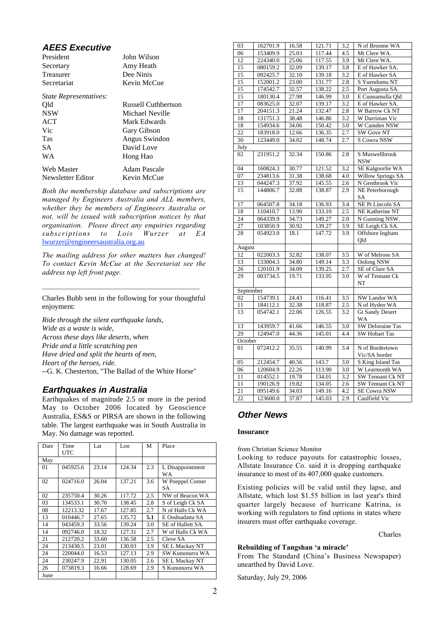# **AEES Executive**

| President                     | John Wilson         |
|-------------------------------|---------------------|
| Secretary                     | Amy Heath           |
| Treasurer                     | Dee Ninis           |
| Secretariat                   | Kevin McCue         |
| <i>State Representatives:</i> |                     |
| Old                           | Russell Cuthbertson |
| <b>NSW</b>                    | Michael Neville     |
| ACT                           | Mark Edwards        |
| Vic                           | Gary Gibson         |
| <b>Tas</b>                    | Angus Swindon       |
| SА                            | David Love          |
| <b>WA</b>                     | Hong Hao            |
| Web Master                    | Adam Pascale        |
| Newsletter Editor             | Kevin McCue         |

*Both the membership database and subscriptions are managed by Engineers Australia and ALL members, whether they be members of Engineers Australia or not, will be issued with subscription notices by that organisation. Please direct any enquiries regarding subscriptions to Lois Wurzer at EA* lwurzer@engineersaustralia.org.au

*The mailing address for other matters has changed! To contact Kevin McCue at the Secretariat see the address top left front page.*

Charles Bubb sent in the following for your thoughtful enjoyment:

*\_\_\_\_\_\_\_\_\_\_\_\_\_\_\_\_\_\_\_\_\_\_\_\_\_\_\_\_\_\_\_\_\_\_\_\_\_\_\_\_\_\_\_*

*Ride through the silent earthquake lands, Wide as a waste is wide, Across these days like deserts, when Pride and a little scratching pen Have dried and split the hearts of men, Heart of the heroes, ride.* --G. K. Chesterton, "The Ballad of the White Horse"

# **Earthquakes in Australia**

Earthquakes of magnitude 2.5 or more in the period May to October 2006 located by Geoscience Australia, ES&S or PIRSA are shown in the following table. The largest earthquake was in South Australia in May. No damage was reported.

| Date | Time<br><b>UTC</b> | Lat   | Lon    | М   | Place                |
|------|--------------------|-------|--------|-----|----------------------|
| May  |                    |       |        |     |                      |
| 01   | 045925.6           | 23.14 | 124.34 | 2.3 | L Disappointment     |
|      |                    |       |        |     | WA                   |
| 02   | 024716.0           | 26.04 | 137.21 | 3.6 | W Poeppel Corner     |
|      |                    |       |        |     | SА                   |
| 02   | 235750.4           | 30.26 | 117.72 | 2.5 | NW of Beacon WA      |
| 03   | 134533.1           | 30.70 | 138.45 | 2.8 | S of Leigh Ck SA     |
| 08   | 12213.32           | 17.67 | 127.85 | 2.7 | N of Halls Ck WA     |
| 13   | 010446.7           | 27.65 | 135.72 | 5.1 | E Oodnadatta SA      |
| 14   | 043459.3           | 33.56 | 139.24 | 3.0 | SE of Hallett SA.    |
| 14   | 092746.0           | 18.32 | 127.31 | 2.7 | W of Halls Ck WA     |
| 21   | 212720.2           | 33.60 | 136.58 | 2.5 | Cleve SA             |
| 24   | 213430.5           | 23.01 | 130.03 | 3.9 | <b>SEL Mackay NT</b> |
| 24   | 220044.0           | 16.53 | 127.13 | 2.9 | SW Kununurra WA      |
| 24   | 230247.9           | 22.91 | 130.05 | 2.6 | <b>SEL Mackay NT</b> |
| 26   | 073819.3           | 16.66 | 128.69 | 2.9 | S Kununurra WA       |
| June |                    |       |        |     |                      |

| 03                                                               | 162701.9 | 16.58 | 121.71 | 3.2              | N of Broome WA           |
|------------------------------------------------------------------|----------|-------|--------|------------------|--------------------------|
| 06                                                               | 153409.9 | 25.03 | 117.44 | 4.5              | Mt Clere WA.             |
| 12                                                               | 224340.0 | 25.06 | 117.55 | 3.9              | Mt Clere WA.             |
| 15                                                               | 080159.2 | 32.09 | 139.17 | 3.8              | E of Hawker SA.          |
| 15                                                               | 092425.7 | 32.10 | 139.18 | 3.2              | E of Hawker SA           |
| 15                                                               | 152001.2 | 23.00 | 131.77 | 2.8              | S Yuendumu NT            |
| 15                                                               | 174542.7 | 32.57 | 138.22 | 2.5              | Port Augusta SA.         |
| 15                                                               | 180130.4 | 27.98 | 146.99 | 3.0              | E Cunnamulla Qld         |
| 17                                                               | 083625.0 | 32.07 | 139.17 | 3.2              | E of Hawker SA.          |
| 17                                                               | 204151.3 | 21.24 | 132.47 | 2.8              | W Barrow Ck NT           |
| 18                                                               | 131751.3 | 38.48 | 146.86 | 3.2              | W Darriman Vic           |
| 18                                                               | 154934.6 | 34.06 | 150.42 | 3.0              | W Camden NSW             |
| 22                                                               | 183918.0 | 12.66 | 136.35 | 2.7              | SW Gove NT               |
| $\overline{30}$                                                  | 123449.0 | 34.02 | 148.74 | 2.7              | S Cowra NSW              |
| July                                                             |          |       |        |                  |                          |
| 02                                                               | 231951.2 | 32.34 | 150.86 | 2.8              | S Muswellbrook           |
|                                                                  |          |       |        |                  | <b>NSW</b>               |
| 04                                                               | 160824.3 | 30.77 | 121.52 | 3.2              | SE Kalgoorlie WA         |
| 07                                                               | 234813.6 | 31.38 | 138.68 | 4.0              | <b>Willow Springs SA</b> |
| 13                                                               | 044247.3 | 37.92 | 145.55 | 2.6              | N Gembrook Vic           |
| 15                                                               | 144806.7 | 32.88 | 138.87 | 2.9              | NE Peterborough          |
|                                                                  |          |       |        |                  | SA                       |
| 17                                                               | 064507.8 | 34.18 | 136.93 | 3.4              | <b>NE Pt Lincoln SA</b>  |
| 18                                                               | 110410.7 | 13.90 | 133.10 | 2.5              | NE Katherine NT          |
| $\overline{24}$                                                  | 064339.9 | 34.73 | 149.27 | 2.0              | N Gunning NSW.           |
| $\overline{27}$                                                  | 103850.9 | 30.92 | 139.27 | 3.9              | SE Leigh Ck SA.          |
| 28                                                               | 054923.0 | 18.1  | 147.72 | $\overline{3.9}$ | Offshore Ingham          |
|                                                                  |          |       |        |                  | Qld                      |
| August                                                           |          |       |        |                  |                          |
| 12                                                               | 022003.3 | 32.82 | 138.07 | 3.5              | W of Melrose SA          |
| 13                                                               | 133004.3 | 34.80 | 149.14 | 3.3              | <b>Oolong NSW</b>        |
| 26                                                               | 120101.9 | 34.09 | 139.25 | 2.7              | SE of Clare SA           |
| 29                                                               | 003734.5 | 19.71 | 133.95 | 3.0              | W of Tennant Ck          |
|                                                                  |          |       |        |                  | NT                       |
| September                                                        |          |       |        |                  |                          |
| 02                                                               | 154739.1 | 24.43 | 116.41 | 3.5              | NW Landor WA             |
| 11                                                               | 184112.1 | 32.38 | 118.87 | 2.5              | N of Hyden WA            |
| 13                                                               | 054742.1 | 22.06 | 126.55 | $\overline{3.2}$ | <b>Gt Sandy Desert</b>   |
|                                                                  |          |       |        |                  | WA                       |
| 13                                                               | 143959.7 | 41.66 | 146.55 | 3.0              | <b>SW Deloraine Tas</b>  |
| 29<br>124947.0<br>44.36<br>145.01<br>4.4<br><b>SW Hobart Tas</b> |          |       |        |                  |                          |
| October                                                          |          |       |        |                  |                          |
| 01                                                               | 072412.2 | 35.55 | 140.99 | 3.4              | N of Bordertown          |
|                                                                  |          |       |        |                  | Vic/SA border            |
| 05                                                               | 212454.7 | 40.56 | 143.7  | 3.0              | S King Island Tas        |
| 06                                                               | 120604.9 | 22.26 | 113.90 | 3.0              | W Learmonth WA           |
| 11                                                               | 014552.1 | 19.78 | 134.01 | 3.2              | <b>SW Tennant Ck NT</b>  |
| 11                                                               | 190126.9 | 19.82 | 134.05 | 2.6              | SW Tennant Ck NT         |
| 21                                                               | 095149.6 | 34.03 | 149.16 | 4.2              | <b>SE Cowra NSW</b>      |
| 22                                                               | 123600.0 | 37.87 | 145.03 | $\overline{2.9}$ | Caulfield Vic            |

# **Other News**

#### **Insurance**

from Christian Science Monitor

Looking to reduce payouts for catastrophic losses, Allstate Insurance Co. said it is dropping earthquake insurance to most of its 407,000 quake customers.

Existing policies will be valid until they lapse, and Allstate, which lost \$1.55 billion in last year's third quarter largely because of hurricane Katrina, is working with regulators to find options in states where insurers must offer earthquake coverage.

Charles

#### Rebuilding of Tangshan 'a miracle'

From The Standard (China's Business Newspaper) unearthed by David Love.

Saturday, July 29, 2006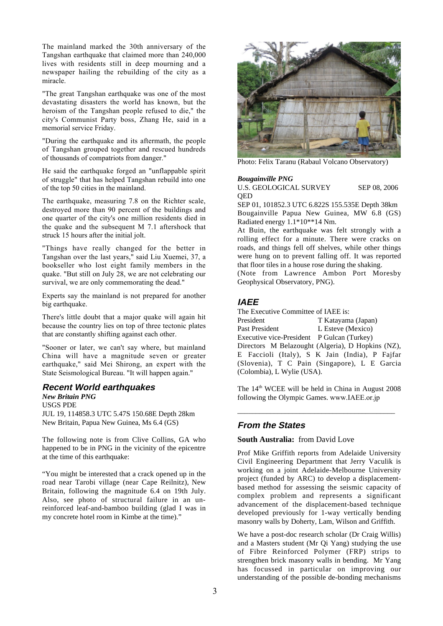The mainland marked the 30th anniversary of the Tangshan earthquake that claimed more than 240,000 lives with residents still in deep mourning and a newspaper hailing the rebuilding of the city as a miracle.

"The great Tangshan earthquake was one of the most devastating disasters the world has known, but the heroism of the Tangshan people refused to die," the city's Communist Party boss, Zhang He, said in a memorial service Friday.

"During the earthquake and its aftermath, the people of Tangshan grouped together and rescued hundreds of thousands of compatriots from danger."

He said the earthquake forged an "unflappable spirit of struggle" that has helped Tangshan rebuild into one of the top 50 cities in the mainland.

The earthquake, measuring 7.8 on the Richter scale, destroyed more than 90 percent of the buildings and one quarter of the city's one million residents died in the quake and the subsequent M 7.1 aftershock that struck 15 hours after the initial jolt.

"Things have really changed for the better in Tangshan over the last years," said Liu Xuemei, 37, a bookseller who lost eight family members in the quake. "But still on July 28, we are not celebrating our survival, we are only commemorating the dead."

Experts say the mainland is not prepared for another big earthquake.

There's little doubt that a major quake will again hit because the country lies on top of three tectonic plates that are constantly shifting against each other.

"Sooner or later, we can't say where, but mainland China will have a magnitude seven or greater earthquake," said Mei Shirong, an expert with the State Seismological Bureau. "It will happen again."

## **Recent World earthquakes**

*New Britain PNG* USGS PDE JUL 19, 114858.3 UTC 5.47S 150.68E Depth 28km New Britain, Papua New Guinea, Ms 6.4 (GS)

The following note is from Clive Collins, GA who happened to be in PNG in the vicinity of the epicentre at the time of this earthquake:

"You might be interested that a crack opened up in the road near Tarobi village (near Cape Reilnitz), New Britain, following the magnitude 6.4 on 19th July. Also, see photo of structural failure in an unreinforced leaf-and-bamboo building (glad I was in my concrete hotel room in Kimbe at the time)."



Photo: Felix Taranu (Rabaul Volcano Observatory)

#### *Bougainville PNG*

U.S. GEOLOGICAL SURVEY SEP 08, 2006 **OED** 

SEP 01, 101852.3 UTC 6.822S 155.535E Depth 38km Bougainville Papua New Guinea, MW 6.8 (GS) Radiated energy 1.1\*10\*\*14 Nm.

At Buin, the earthquake was felt strongly with a rolling effect for a minute. There were cracks on roads, and things fell off shelves, while other things were hung on to prevent falling off. It was reported that floor tiles in a house rose during the shaking.

(Note from Lawrence Ambon Port Moresby Geophysical Observatory, PNG).

#### **IAEE**

The Executive Committee of IAEE is: President T Katayama (Japan)<br>Past President L Esteve (Mexico) L Esteve (Mexico) Executive vice-President P Gulcan (Turkey) Directors M Belazought (Algeria), D Hopkins (NZ), E Faccioli (Italy), S K Jain (India), P Fajfar (Slovenia), T C Pain (Singapore), L E Garcia (Colombia), L Wylie (USA).

The 14<sup>th</sup> WCEE will be held in China in August 2008 following the Olympic Games. www.IAEE.or.jp

\_\_\_\_\_\_\_\_\_\_\_\_\_\_\_\_\_\_\_\_\_\_\_\_\_\_\_\_\_\_\_\_\_\_\_\_\_\_\_\_\_\_\_

#### **From the States**

#### **South Australia:** from David Love

Prof Mike Griffith reports from Adelaide University Civil Engineering Department that Jerry Vaculik is working on a joint Adelaide-Melbourne University project (funded by ARC) to develop a displacementbased method for assessing the seismic capacity of complex problem and represents a significant advancement of the displacement-based technique developed previously for 1-way vertically bending masonry walls by Doherty, Lam, Wilson and Griffith.

We have a post-doc research scholar (Dr Craig Willis) and a Masters student (Mr Qi Yang) studying the use of Fibre Reinforced Polymer (FRP) strips to strengthen brick masonry walls in bending. Mr Yang has focussed in particular on improving our understanding of the possible de-bonding mechanisms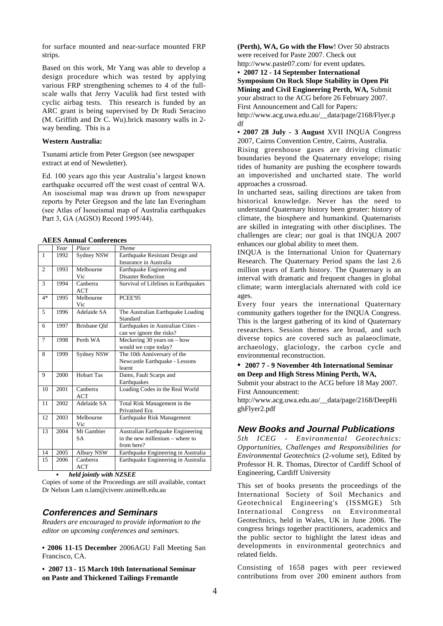for surface mounted and near-surface mounted FRP strips.

Based on this work, Mr Yang was able to develop a design procedure which was tested by applying various FRP strengthening schemes to 4 of the fullscale walls that Jerry Vaculik had first tested with cyclic airbag tests. This research is funded by an ARC grant is being supervised by Dr Rudi Seracino (M. Griffith and Dr C. Wu).brick masonry walls in 2 way bending. This is a

#### **Western Australia:**

Tsunami article from Peter Gregson (see newspaper extract at end of Newsletter).

Ed. 100 years ago this year Australia's largest known earthquake occurred off the west coast of central WA. An isoseismal map was drawn up from newspaper reports by Peter Gregson and the late Ian Everingham (see Atlas of Isoseismal map of Australia earthquakes Part 3, GA (AGSO) Record 1995/44).

#### **AEES Annual Conferences**

|              | Year | Place             | <b>Theme</b>                         |
|--------------|------|-------------------|--------------------------------------|
| $\mathbf{1}$ | 1992 | Sydney NSW        | Earthquake Resistant Design and      |
|              |      |                   | Insurance in Australia               |
| 2            | 1993 | Melbourne         | Earthquake Engineering and           |
|              |      | Vic               | <b>Disaster Reduction</b>            |
| 3            | 1994 | Canberra          | Survival of Lifelines in Earthquakes |
|              |      | ACT               |                                      |
| $4*$         | 1995 | Melbourne         | PCEE'95                              |
|              |      | Vic               |                                      |
| 5            | 1996 | Adelaide SA       | The Australian Earthquake Loading    |
|              |      |                   | Standard                             |
| 6            | 1997 | Brisbane Old      | Earthquakes in Australian Cities -   |
|              |      |                   | can we ignore the risks?             |
| 7            | 1998 | Perth WA          | Meckering 30 years on $-$ how        |
|              |      |                   | would we cope today?                 |
| 8            | 1999 | Sydney NSW        | The 10th Anniversary of the          |
|              |      |                   | Newcastle Earthquake - Lessons       |
|              |      |                   | learnt                               |
| 9            | 2000 | <b>Hobart Tas</b> | Dams, Fault Scarps and               |
|              |      |                   | Earthquakes                          |
| 10           | 2001 | Canberra          | Loading Codes in the Real World      |
|              |      | ACT               |                                      |
| 11           | 2002 | Adelaide SA       | Total Risk Management in the         |
|              |      |                   | <b>Privatised Era</b>                |
| 12           | 2003 | Melbourne         | Earthquake Risk Management           |
|              |      | Vic               |                                      |
| 13           | 2004 | Mt Gambier        | Australian Earthquake Engineering    |
|              |      | <b>SA</b>         | in the new millenium – where to      |
|              |      |                   | from here?                           |
| 14           | 2005 | Albury NSW        | Earthquake Engineering in Australia  |
| 15           | 2006 | Canberra          | Earthquake Engineering in Australia  |
|              |      | <b>ACT</b>        |                                      |

*held jointly with NZSEE*

Copies of some of the Proceedings are still available, contact Dr Nelson Lam n.lam@civenv.unimelb.edu.au

#### **Conferences and Seminars**

*Readers are encouraged to provide information to the editor on upcoming conferences and seminars.*

**• 2006 11-15 December** 2006AGU Fall Meeting San Francisco, CA.

**• 2007 13 - 15 March 10th International Seminar on Paste and Thickened Tailings Fremantle**

**(Perth), WA, Go with the Flow**! Over 50 abstracts were received for Paste 2007. Check out http://www.paste07.com/ for event updates.

**• 2007 12 - 14 September International**

**Symposium On Rock Slope Stability in Open Pit Mining and Civil Engineering Perth, WA,** Submit

your abstract to the ACG before 26 February 2007. First Announcement and Call for Papers:

http://www.acg.uwa.edu.au/\_\_data/page/2168/Flyer.p df

**• 2007 28 July - 3 August** XVII INQUA Congress 2007, Cairns Convention Centre, Cairns, Australia.

Rising greenhouse gases are driving climatic boundaries beyond the Quaternary envelope; rising tides of humanity are pushing the ecosphere towards an impoverished and uncharted state. The world approaches a crossroad.

In uncharted seas, sailing directions are taken from historical knowledge. Never has the need to understand Quaternary history been greater: history of climate, the biosphere and humankind. Quaternarists are skilled in integrating with other disciplines. The challenges are clear; our goal is that INQUA 2007 enhances our global ability to meet them.

INQUA is the International Union for Quaternary Research. The Quaternary Period spans the last 2.6 million years of Earth history. The Quaternary is an interval with dramatic and frequent changes in global climate; warm interglacials alternated with cold ice ages.

Every four years the international Quaternary community gathers together for the INQUA Congress. This is the largest gathering of its kind of Quaternary researchers. Session themes are broad, and such diverse topics are covered such as palaeoclimate, archaeology, glaciology, the carbon cycle and environmental reconstruction.

#### **• 2007 7 - 9 November 4th International Seminar on Deep and High Stress Mining Perth, WA,**

Submit your abstract to the ACG before 18 May 2007. First Announcement:

http://www.acg.uwa.edu.au/\_\_data/page/2168/DeepHi ghFlyer2.pdf

# **New Books and Journal Publications**

*5th ICEG - Environmental Geotechnics: Opportunities, Challenges and Responsibilities for Environmental Geotechnics* (2-volume set), Edited by Professor H. R. Thomas, Director of Cardiff School of Engineering, Cardiff University

This set of books presents the proceedings of the International Society of Soil Mechanics and Geotechnical Engineering's (ISSMGE) 5th International Congress on Environmental Geotechnics, held in Wales, UK in June 2006. The congress brings together practitioners, academics and the public sector to highlight the latest ideas and developments in environmental geotechnics and related fields.

Consisting of 1658 pages with peer reviewed contributions from over 200 eminent authors from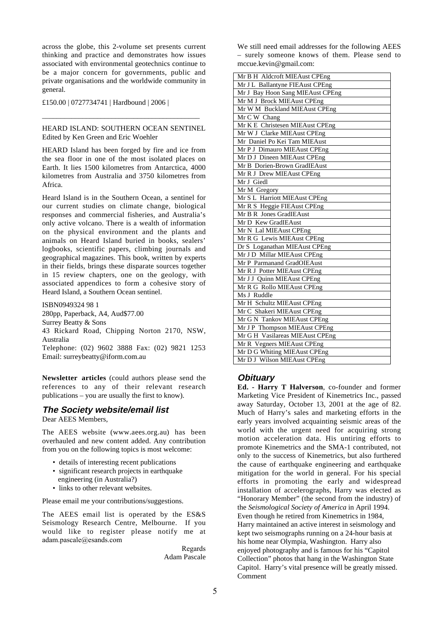across the globe, this 2-volume set presents current thinking and practice and demonstrates how issues associated with environmental geotechnics continue to be a major concern for governments, public and private organisations and the worldwide community in general.

£150.00 | 0727734741 | Hardbound | 2006 |

#### HEARD ISLAND: SOUTHERN OCEAN SENTINEL Edited by Ken Green and Eric Woehler

\_\_\_\_\_\_\_\_\_\_\_\_\_\_\_\_\_\_\_\_\_\_\_\_\_\_\_\_\_\_\_\_\_\_\_\_\_\_\_\_\_\_\_

HEARD Island has been forged by fire and ice from the sea floor in one of the most isolated places on Earth. It lies 1500 kilometres from Antarctica, 4000 kilometres from Australia and 3750 kilometres from Africa.

Heard Island is in the Southern Ocean, a sentinel for our current studies on climate change, biological responses and commercial fisheries, and Australia's only active volcano. There is a wealth of information on the physical environment and the plants and animals on Heard Island buried in books, sealers' logbooks, scientific papers, climbing journals and geographical magazines. This book, written by experts in their fields, brings these disparate sources together in 15 review chapters, one on the geology, with associated appendices to form a cohesive story of Heard Island, a Southern Ocean sentinel.

ISBN0949324 98 1 280pp, Paperback, A4, Aud\$77.00 Surrey Beatty & Sons 43 Rickard Road, Chipping Norton 2170, NSW, Australia Telephone: (02) 9602 3888 Fax: (02) 9821 1253

Email: surreybeatty@iform.com.au

**Newsletter articles** (could authors please send the references to any of their relevant research publications – you are usually the first to know).

# **The Society website/email list**

Dear AEES Members,

The AEES website (www.aees.org.au) has been overhauled and new content added. Any contribution from you on the following topics is most welcome:

- details of interesting recent publications
- significant research projects in earthquake engineering (in Australia?)
- links to other relevant websites.

Please email me your contributions/suggestions.

The AEES email list is operated by the ES&S Seismology Research Centre, Melbourne. If you would like to register please notify me at adam.pascale@esands.com

> Regards Adam Pascale

We still need email addresses for the following AEES – surely someone knows of them. Please send to mccue.kevin@gmail.com:

## **Obituary**

**Ed. - Harry T Halverson**, co-founder and former Marketing Vice President of Kinemetrics Inc., passed away Saturday, October 13, 2001 at the age of 82. Much of Harry's sales and marketing efforts in the early years involved acquainting seismic areas of the world with the urgent need for acquiring strong motion acceleration data. His untiring efforts to promote Kinemetrics and the SMA-1 contributed, not only to the success of Kinemetrics, but also furthered the cause of earthquake engineering and earthquake mitigation for the world in general. For his special efforts in promoting the early and widespread installation of accelerographs, Harry was elected as "Honorary Member" (the second from the industry) of the *Seismological Society of America* in April 1994. Even though he retired from Kinemetrics in 1984, Harry maintained an active interest in seismology and kept two seismographs running on a 24-hour basis at his home near Olympia, Washington. Harry also enjoyed photography and is famous for his "Capitol Collection" photos that hang in the Washington State Capitol. Harry's vital presence will be greatly missed. Comment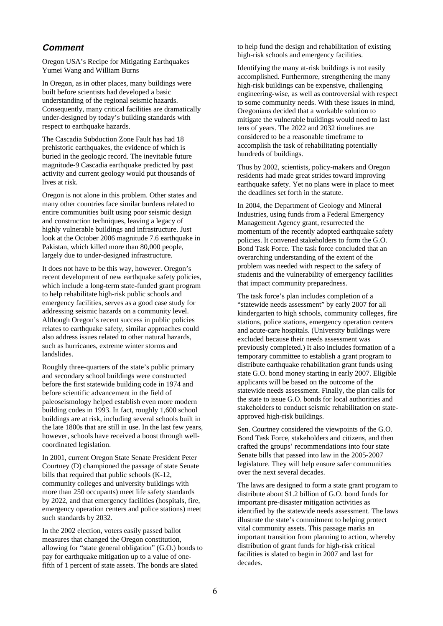# **Comment**

Oregon USA's Recipe for Mitigating Earthquakes Yumei Wang and William Burns

In Oregon, as in other places, many buildings were built before scientists had developed a basic understanding of the regional seismic hazards. Consequently, many critical facilities are dramatically under-designed by today's building standards with respect to earthquake hazards.

The Cascadia Subduction Zone Fault has had 18 prehistoric earthquakes, the evidence of which is buried in the geologic record. The inevitable future magnitude-9 Cascadia earthquake predicted by past activity and current geology would put thousands of lives at risk.

Oregon is not alone in this problem. Other states and many other countries face similar burdens related to entire communities built using poor seismic design and construction techniques, leaving a legacy of highly vulnerable buildings and infrastructure. Just look at the October 2006 magnitude 7.6 earthquake in Pakistan, which killed more than 80,000 people, largely due to under-designed infrastructure.

It does not have to be this way, however. Oregon's recent development of new earthquake safety policies, which include a long-term state-funded grant program to help rehabilitate high-risk public schools and emergency facilities, serves as a good case study for addressing seismic hazards on a community level. Although Oregon's recent success in public policies relates to earthquake safety, similar approaches could also address issues related to other natural hazards, such as hurricanes, extreme winter storms and landslides.

Roughly three-quarters of the state's public primary and secondary school buildings were constructed before the first statewide building code in 1974 and before scientific advancement in the field of paleoseismology helped establish even more modern building codes in 1993. In fact, roughly 1,600 school buildings are at risk, including several schools built in the late 1800s that are still in use. In the last few years, however, schools have received a boost through wellcoordinated legislation.

In 2001, current Oregon State Senate President Peter Courtney (D) championed the passage of state Senate bills that required that public schools (K-12, community colleges and university buildings with more than 250 occupants) meet life safety standards by 2022, and that emergency facilities (hospitals, fire, emergency operation centers and police stations) meet such standards by 2032.

In the 2002 election, voters easily passed ballot measures that changed the Oregon constitution, allowing for "state general obligation" (G.O.) bonds to pay for earthquake mitigation up to a value of onefifth of 1 percent of state assets. The bonds are slated

to help fund the design and rehabilitation of existing high-risk schools and emergency facilities.

Identifying the many at-risk buildings is not easily accomplished. Furthermore, strengthening the many high-risk buildings can be expensive, challenging engineering-wise, as well as controversial with respect to some community needs. With these issues in mind, Oregonians decided that a workable solution to mitigate the vulnerable buildings would need to last tens of years. The 2022 and 2032 timelines are considered to be a reasonable timeframe to accomplish the task of rehabilitating potentially hundreds of buildings.

Thus by 2002, scientists, policy-makers and Oregon residents had made great strides toward improving earthquake safety. Yet no plans were in place to meet the deadlines set forth in the statute.

In 2004, the Department of Geology and Mineral Industries, using funds from a Federal Emergency Management Agency grant, resurrected the momentum of the recently adopted earthquake safety policies. It convened stakeholders to form the G.O. Bond Task Force. The task force concluded that an overarching understanding of the extent of the problem was needed with respect to the safety of students and the vulnerability of emergency facilities that impact community preparedness.

The task force's plan includes completion of a "statewide needs assessment" by early 2007 for all kindergarten to high schools, community colleges, fire stations, police stations, emergency operation centers and acute-care hospitals. (University buildings were excluded because their needs assessment was previously completed.) It also includes formation of a temporary committee to establish a grant program to distribute earthquake rehabilitation grant funds using state G.O. bond money starting in early 2007. Eligible applicants will be based on the outcome of the statewide needs assessment. Finally, the plan calls for the state to issue G.O. bonds for local authorities and stakeholders to conduct seismic rehabilitation on stateapproved high-risk buildings.

Sen. Courtney considered the viewpoints of the G.O. Bond Task Force, stakeholders and citizens, and then crafted the groups' recommendations into four state Senate bills that passed into law in the 2005-2007 legislature. They will help ensure safer communities over the next several decades.

The laws are designed to form a state grant program to distribute about \$1.2 billion of G.O. bond funds for important pre-disaster mitigation activities as identified by the statewide needs assessment. The laws illustrate the state's commitment to helping protect vital community assets. This passage marks an important transition from planning to action, whereby distribution of grant funds for high-risk critical facilities is slated to begin in 2007 and last for decades.